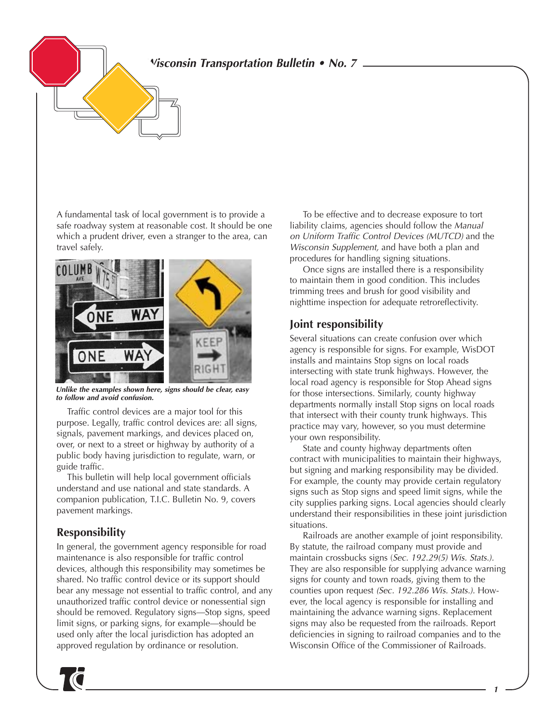**Wisconsin Transportation Bulletin • No. 7**

A fundamental task of local government is to provide a safe roadway system at reasonable cost. It should be one which a prudent driver, even a stranger to the area, can travel safely.



**Unlike the examples shown here, signs should be clear, easy to follow and avoid confusion.**

Traffic control devices are a major tool for this purpose. Legally, traffic control devices are: all signs, signals, pavement markings, and devices placed on, over, or next to a street or highway by authority of a public body having jurisdiction to regulate, warn, or guide traffic.

This bulletin will help local government officials understand and use national and state standards. A companion publication, T.I.C. Bulletin No. 9, covers pavement markings.

### **Responsibility**

In general, the government agency responsible for road maintenance is also responsible for traffic control devices, although this responsibility may sometimes be shared. No traffic control device or its support should bear any message not essential to traffic control, and any unauthorized traffic control device or nonessential sign should be removed. Regulatory signs—Stop signs, speed limit signs, or parking signs, for example—should be used only after the local jurisdiction has adopted an approved regulation by ordinance or resolution.

To be effective and to decrease exposure to tort liability claims, agencies should follow the Manual on Uniform Traffic Control Devices (MUTCD) and the Wisconsin Supplement, and have both a plan and procedures for handling signing situations.

Once signs are installed there is a responsibility to maintain them in good condition. This includes trimming trees and brush for good visibility and nighttime inspection for adequate retroreflectivity.

### **Joint responsibility**

Several situations can create confusion over which agency is responsible for signs. For example, WisDOT installs and maintains Stop signs on local roads intersecting with state trunk highways. However, the local road agency is responsible for Stop Ahead signs for those intersections. Similarly, county highway departments normally install Stop signs on local roads that intersect with their county trunk highways. This practice may vary, however, so you must determine your own responsibility.

State and county highway departments often contract with municipalities to maintain their highways, but signing and marking responsibility may be divided. For example, the county may provide certain regulatory signs such as Stop signs and speed limit signs, while the city supplies parking signs. Local agencies should clearly understand their responsibilities in these joint jurisdiction situations.

Railroads are another example of joint responsibility. By statute, the railroad company must provide and maintain crossbucks signs (Sec. 192.29(5) Wis. Stats.). They are also responsible for supplying advance warning signs for county and town roads, giving them to the counties upon request (Sec. 192.286 Wis. Stats.). However, the local agency is responsible for installing and maintaining the advance warning signs. Replacement signs may also be requested from the railroads. Report deficiencies in signing to railroad companies and to the Wisconsin Office of the Commissioner of Railroads.

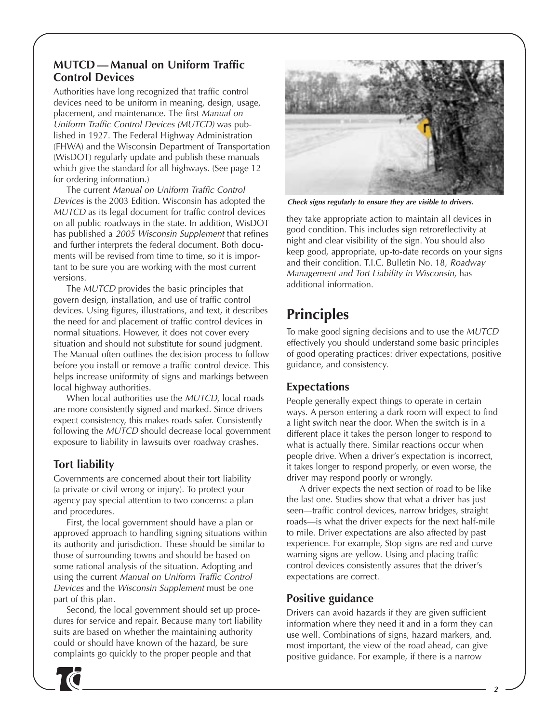### **MUTCD — Manual on Uniform Traffic Control Devices**

Authorities have long recognized that traffic control devices need to be uniform in meaning, design, usage, placement, and maintenance. The first Manual on Uniform Traffic Control Devices (MUTCD) was published in 1927. The Federal Highway Administration (FHWA) and the Wisconsin Department of Transportation (WisDOT) regularly update and publish these manuals which give the standard for all highways. (See page 12 for ordering information.)

The current Manual on Uniform Traffic Control Devices is the 2003 Edition. Wisconsin has adopted the MUTCD as its legal document for traffic control devices on all public roadways in the state. In addition, WisDOT has published a 2005 Wisconsin Supplement that refines and further interprets the federal document. Both documents will be revised from time to time, so it is important to be sure you are working with the most current versions.

The MUTCD provides the basic principles that govern design, installation, and use of traffic control devices. Using figures, illustrations, and text, it describes the need for and placement of traffic control devices in normal situations. However, it does not cover every situation and should not substitute for sound judgment. The Manual often outlines the decision process to follow before you install or remove a traffic control device. This helps increase uniformity of signs and markings between local highway authorities.

When local authorities use the MUTCD, local roads are more consistently signed and marked. Since drivers expect consistency, this makes roads safer. Consistently following the MUTCD should decrease local government exposure to liability in lawsuits over roadway crashes.

## **Tort liability**

Governments are concerned about their tort liability (a private or civil wrong or injury). To protect your agency pay special attention to two concerns: a plan and procedures.

First, the local government should have a plan or approved approach to handling signing situations within its authority and jurisdiction. These should be similar to those of surrounding towns and should be based on some rational analysis of the situation. Adopting and using the current Manual on Uniform Traffic Control Devices and the Wisconsin Supplement must be one part of this plan.

Second, the local government should set up procedures for service and repair. Because many tort liability suits are based on whether the maintaining authority could or should have known of the hazard, be sure complaints go quickly to the proper people and that



**Check signs regularly to ensure they are visible to drivers.**

they take appropriate action to maintain all devices in good condition. This includes sign retroreflectivity at night and clear visibility of the sign. You should also keep good, appropriate, up-to-date records on your signs and their condition. T.I.C. Bulletin No. 18, Roadway Management and Tort Liability in Wisconsin, has additional information.

# **Principles**

To make good signing decisions and to use the MUTCD effectively you should understand some basic principles of good operating practices: driver expectations, positive guidance, and consistency.

## **Expectations**

People generally expect things to operate in certain ways. A person entering a dark room will expect to find a light switch near the door. When the switch is in a different place it takes the person longer to respond to what is actually there. Similar reactions occur when people drive. When a driver's expectation is incorrect, it takes longer to respond properly, or even worse, the driver may respond poorly or wrongly.

A driver expects the next section of road to be like the last one. Studies show that what a driver has just seen—traffic control devices, narrow bridges, straight roads—is what the driver expects for the next half-mile to mile. Driver expectations are also affected by past experience. For example, Stop signs are red and curve warning signs are yellow. Using and placing traffic control devices consistently assures that the driver's expectations are correct.

## **Positive guidance**

Drivers can avoid hazards if they are given sufficient information where they need it and in a form they can use well. Combinations of signs, hazard markers, and, most important, the view of the road ahead, can give positive guidance. For example, if there is a narrow

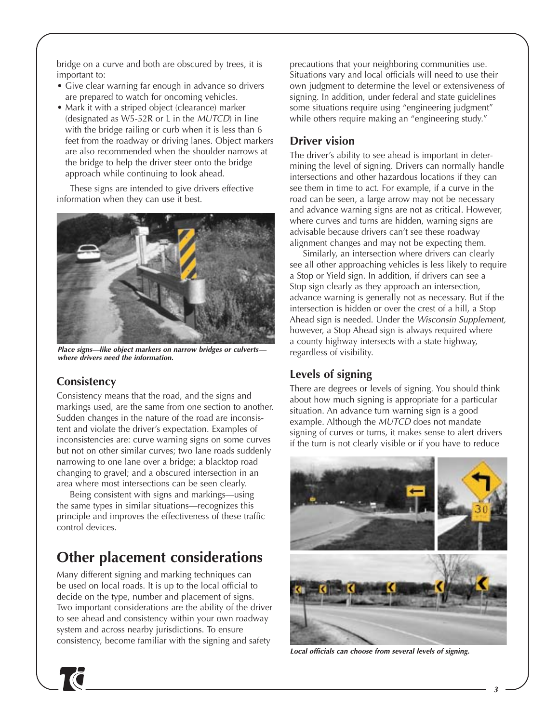bridge on a curve and both are obscured by trees, it is important to:

- Give clear warning far enough in advance so drivers are prepared to watch for oncoming vehicles.
- Mark it with a striped object (clearance) marker (designated as W5-52R or L in the MUTCD) in line with the bridge railing or curb when it is less than 6 feet from the roadway or driving lanes. Object markers are also recommended when the shoulder narrows at the bridge to help the driver steer onto the bridge approach while continuing to look ahead.

These signs are intended to give drivers effective information when they can use it best.



**Place signs—like object markers on narrow bridges or culverts where drivers need the information.**

## **Consistency**

Consistency means that the road, and the signs and markings used, are the same from one section to another. Sudden changes in the nature of the road are inconsistent and violate the driver's expectation. Examples of inconsistencies are: curve warning signs on some curves but not on other similar curves; two lane roads suddenly narrowing to one lane over a bridge; a blacktop road changing to gravel; and a obscured intersection in an area where most intersections can be seen clearly.

Being consistent with signs and markings—using the same types in similar situations—recognizes this principle and improves the effectiveness of these traffic control devices.

# **Other placement considerations**

Many different signing and marking techniques can be used on local roads. It is up to the local official to decide on the type, number and placement of signs. Two important considerations are the ability of the driver to see ahead and consistency within your own roadway system and across nearby jurisdictions. To ensure consistency, become familiar with the signing and safety

precautions that your neighboring communities use. Situations vary and local officials will need to use their own judgment to determine the level or extensiveness of signing. In addition, under federal and state guidelines some situations require using "engineering judgment" while others require making an "engineering study."

## **Driver vision**

The driver's ability to see ahead is important in determining the level of signing. Drivers can normally handle intersections and other hazardous locations if they can see them in time to act. For example, if a curve in the road can be seen, a large arrow may not be necessary and advance warning signs are not as critical. However, where curves and turns are hidden, warning signs are advisable because drivers can't see these roadway alignment changes and may not be expecting them.

Similarly, an intersection where drivers can clearly see all other approaching vehicles is less likely to require a Stop or Yield sign. In addition, if drivers can see a Stop sign clearly as they approach an intersection, advance warning is generally not as necessary. But if the intersection is hidden or over the crest of a hill, a Stop Ahead sign is needed. Under the Wisconsin Supplement, however, a Stop Ahead sign is always required where a county highway intersects with a state highway, regardless of visibility.

## **Levels of signing**

There are degrees or levels of signing. You should think about how much signing is appropriate for a particular situation. An advance turn warning sign is a good example. Although the MUTCD does not mandate signing of curves or turns, it makes sense to alert drivers if the turn is not clearly visible or if you have to reduce



**Local officials can choose from several levels of signing.**

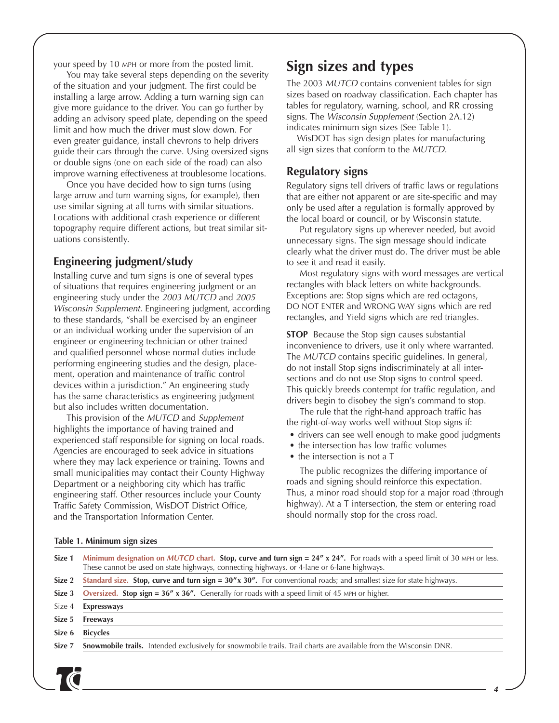your speed by 10 MPH or more from the posted limit.

You may take several steps depending on the severity of the situation and your judgment. The first could be installing a large arrow. Adding a turn warning sign can give more guidance to the driver. You can go further by adding an advisory speed plate, depending on the speed limit and how much the driver must slow down. For even greater guidance, install chevrons to help drivers guide their cars through the curve. Using oversized signs or double signs (one on each side of the road) can also improve warning effectiveness at troublesome locations.

Once you have decided how to sign turns (using large arrow and turn warning signs, for example), then use similar signing at all turns with similar situations. Locations with additional crash experience or different topography require different actions, but treat similar situations consistently.

### **Engineering judgment/study**

Installing curve and turn signs is one of several types of situations that requires engineering judgment or an engineering study under the 2003 MUTCD and 2005 Wisconsin Supplement. Engineering judgment, according to these standards, "shall be exercised by an engineer or an individual working under the supervision of an engineer or engineering technician or other trained and qualified personnel whose normal duties include performing engineering studies and the design, placement, operation and maintenance of traffic control devices within a jurisdiction." An engineering study has the same characteristics as engineering judgment but also includes written documentation.

This provision of the MUTCD and Supplement highlights the importance of having trained and experienced staff responsible for signing on local roads. Agencies are encouraged to seek advice in situations where they may lack experience or training. Towns and small municipalities may contact their County Highway Department or a neighboring city which has traffic engineering staff. Other resources include your County Traffic Safety Commission, WisDOT District Office, and the Transportation Information Center.

## **Sign sizes and types**

The 2003 MUTCD contains convenient tables for sign sizes based on roadway classification. Each chapter has tables for regulatory, warning, school, and RR crossing signs. The Wisconsin Supplement (Section 2A.12) indicates minimum sign sizes (See Table 1).

WisDOT has sign design plates for manufacturing all sign sizes that conform to the MUTCD.

### **Regulatory signs**

Regulatory signs tell drivers of traffic laws or regulations that are either not apparent or are site-specific and may only be used after a regulation is formally approved by the local board or council, or by Wisconsin statute.

Put regulatory signs up wherever needed, but avoid unnecessary signs. The sign message should indicate clearly what the driver must do. The driver must be able to see it and read it easily.

Most regulatory signs with word messages are vertical rectangles with black letters on white backgrounds. Exceptions are: Stop signs which are red octagons, DO NOT ENTER and WRONG WAY signs which are red rectangles, and Yield signs which are red triangles.

**STOP** Because the Stop sign causes substantial inconvenience to drivers, use it only where warranted. The MUTCD contains specific guidelines. In general, do not install Stop signs indiscriminately at all intersections and do not use Stop signs to control speed. This quickly breeds contempt for traffic regulation, and drivers begin to disobey the sign's command to stop.

The rule that the right-hand approach traffic has the right-of-way works well without Stop signs if:

- drivers can see well enough to make good judgments
- the intersection has low traffic volumes
- the intersection is not a T

The public recognizes the differing importance of roads and signing should reinforce this expectation. Thus, a minor road should stop for a major road (through highway). At a T intersection, the stem or entering road should normally stop for the cross road.

#### **Table 1. Minimum sign sizes**

| Size 1 | Minimum designation on MUTCD chart. Stop, curve and turn sign = $24''$ x $24''$ . For roads with a speed limit of 30 MPH or less.<br>These cannot be used on state highways, connecting highways, or 4-lane or 6-lane highways. |  |  |  |  |
|--------|---------------------------------------------------------------------------------------------------------------------------------------------------------------------------------------------------------------------------------|--|--|--|--|
| Size 2 | Standard size. Stop, curve and turn sign = $30''x$ 30". For conventional roads; and smallest size for state highways.                                                                                                           |  |  |  |  |
| Size 3 | <b>Oversized.</b> Stop sign = $36''$ x $36''$ . Generally for roads with a speed limit of 45 MPH or higher.                                                                                                                     |  |  |  |  |
| Size 4 | <b>Expressways</b>                                                                                                                                                                                                              |  |  |  |  |
| Size 5 | <b>Freeways</b>                                                                                                                                                                                                                 |  |  |  |  |
| Size 6 | <b>Bicycles</b>                                                                                                                                                                                                                 |  |  |  |  |
| Size 7 | <b>Snowmobile trails.</b> Intended exclusively for snowmobile trails. Trail charts are available from the Wisconsin DNR.                                                                                                        |  |  |  |  |
|        |                                                                                                                                                                                                                                 |  |  |  |  |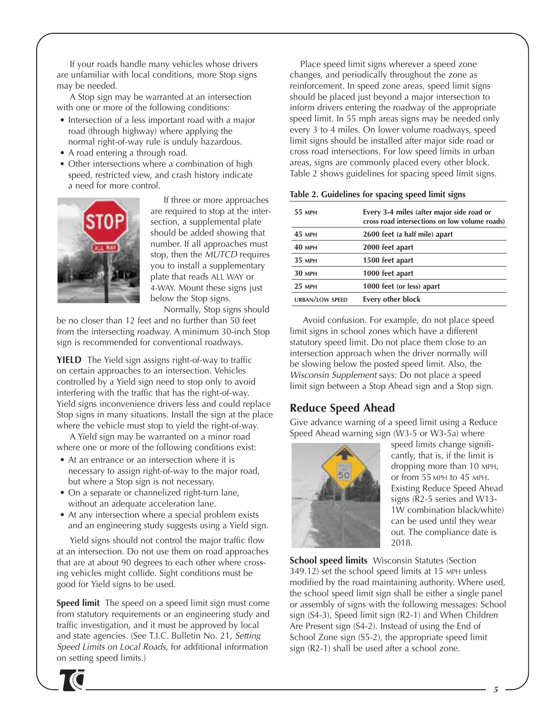If your roads handle many vehicles whose drivers are unfamiliar with local conditions, more Stop signs may be needed.

A Stop sign may be warranted at an intersection with one or more of the following conditions:

- Intersection of a less important road with a major road (through highway) where applying the normal right-of-way rule is unduly hazardous.
- A road entering a through road.
- Other intersections where a combination of high speed, restricted view, and crash history indicate a need for more control.



If three or more approaches are required to stop at the intersection, a supplemental plate should be added showing that number. If all approaches must stop, then the MUTCD requires you to install a supplementary plate that reads ALL WAY or 4-WAY. Mount these signs just below the Stop signs. Normally, Stop signs should

be no closer than 12 feet and no further than 50 feet from the intersecting roadway. A minimum 30-inch Stop sign is recommended for conventional roadways.

**YIELD** The Yield sign assigns right-of-way to traffic on certain approaches to an intersection. Vehicles controlled by a Yield sign need to stop only to avoid interfering with the traffic that has the right-of-way. Yield signs inconvenience drivers less and could replace Stop signs in many situations. Install the sign at the place where the vehicle must stop to yield the right-of-way.

A Yield sign may be warranted on a minor road where one or more of the following conditions exist:

- At an entrance or an intersection where it is necessary to assign right-of-way to the major road, but where a Stop sign is not necessary.
- On a separate or channelized right-turn lane, without an adequate acceleration lane.
- At any intersection where a special problem exists and an engineering study suggests using a Yield sign.

Yield signs should not control the major traffic flow at an intersection. Do not use them on road approaches that are at about 90 degrees to each other where crossing vehicles might collide. Sight conditions must be good for Yield signs to be used.

**Speed limit** The speed on a speed limit sign must come from statutory requirements or an engineering study and traffic investigation, and it must be approved by local and state agencies. (See T.I.C. Bulletin No. 21, Setting Speed Limits on Local Roads, for additional information on setting speed limits.)

Place speed limit signs wherever a speed zone changes, and periodically throughout the zone as reinforcement. In speed zone areas, speed limit signs should be placed just beyond a major intersection to inform drivers entering the roadway of the appropriate speed limit. In 55 mph areas signs may be needed only every 3 to 4 miles. On lower volume roadways, speed limit signs should be installed after major side road or cross road intersections. For low speed limits in urban areas, signs are commonly placed every other block. Table 2 shows guidelines for spacing speed limit signs.

| Table 2. Guidelines for spacing speed limit signs |  |  |  |  |  |  |  |  |
|---------------------------------------------------|--|--|--|--|--|--|--|--|
|---------------------------------------------------|--|--|--|--|--|--|--|--|

| Every 3-4 miles (after major side road or<br>cross road intersections on low volume roads) |
|--------------------------------------------------------------------------------------------|
| 2600 feet (a half mile) apart                                                              |
| 2000 feet apart                                                                            |
| 1500 feet apart                                                                            |
| 1000 feet apart                                                                            |
| 1000 feet (or less) apart                                                                  |
| Every other block                                                                          |
|                                                                                            |

Avoid confusion. For example, do not place speed limit signs in school zones which have a different statutory speed limit. Do not place them close to an intersection approach when the driver normally will be slowing below the posted speed limit. Also, the Wisconsin Supplement says: Do not place a speed limit sign between a Stop Ahead sign and a Stop sign.

## **Reduce Speed Ahead**

Give advance warning of a speed limit using a Reduce Speed Ahead warning sign (W3-5 or W3-5a) where



speed limits change significantly, that is, if the limit is dropping more than 10 MPH, or from 55 MPH to 45 MPH. Existing Reduce Speed Ahead signs (R2-5 series and W13- 1W combination black/white) can be used until they wear out. The compliance date is 2018.

**School speed limits** Wisconsin Statutes (Section 349.12) set the school speed limits at 15 MPH unless modified by the road maintaining authority. Where used, the school speed limit sign shall be either a single panel or assembly of signs with the following messages: School sign (S4-3), Speed limit sign (R2-1) and When Children Are Present sign (S4-2). Instead of using the End of School Zone sign (S5-2), the appropriate speed limit sign (R2-1) shall be used after a school zone.

**5**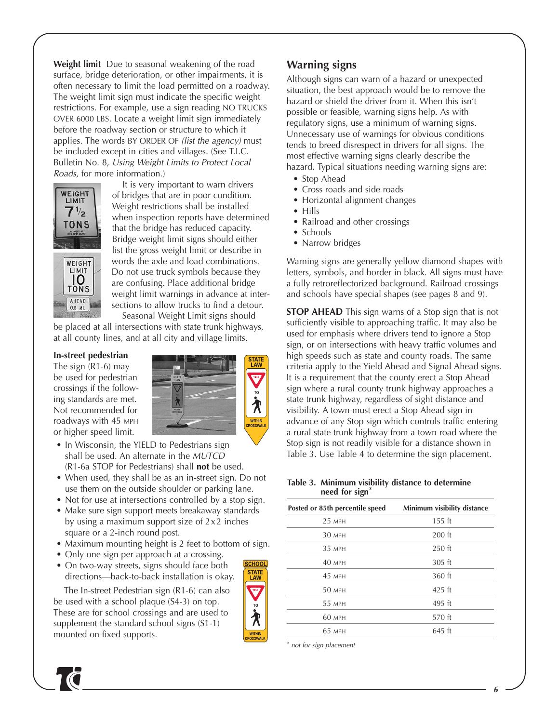**Weight limit** Due to seasonal weakening of the road surface, bridge deterioration, or other impairments, it is often necessary to limit the load permitted on a roadway. The weight limit sign must indicate the specific weight restrictions. For example, use a sign reading NO TRUCKS OVER 6000 LBS. Locate a weight limit sign immediately before the roadway section or structure to which it applies. The words BY ORDER OF (list the agency) must be included except in cities and villages. (See T.I.C. Bulletin No. 8, Using Weight Limits to Protect Local Roads, for more information.)



AHEAD 0.8 ML

It is very important to warn drivers of bridges that are in poor condition. Weight restrictions shall be installed when inspection reports have determined that the bridge has reduced capacity. Bridge weight limit signs should either list the gross weight limit or describe in words the axle and load combinations. Do not use truck symbols because they are confusing. Place additional bridge weight limit warnings in advance at intersections to allow trucks to find a detour.

Seasonal Weight Limit signs should be placed at all intersections with state trunk highways, at all county lines, and at all city and village limits.

#### **In-street pedestrian**

The sign (R1-6) may be used for pedestrian crossings if the following standards are met. Not recommended for roadways with 45 MPH or higher speed limit.



- In Wisconsin, the YIELD to Pedestrians sign shall be used. An alternate in the MUTCD (R1-6a STOP for Pedestrians) shall **not** be used.
- When used, they shall be as an in-street sign. Do not use them on the outside shoulder or parking lane.
- Not for use at intersections controlled by a stop sign.
- Make sure sign support meets breakaway standards by using a maximum support size of  $2 \times 2$  inches square or a 2-inch round post.
- Maximum mounting height is 2 feet to bottom of sign.
- Only one sign per approach at a crossing.
- On two-way streets, signs should face both directions—back-to-back installation is okay.

The In-street Pedestrian sign (R1-6) can also be used with a school plaque (S4-3) on top. These are for school crossings and are used to supplement the standard school signs (S1-1) mounted on fixed supports.



### **Warning signs**

Although signs can warn of a hazard or unexpected situation, the best approach would be to remove the hazard or shield the driver from it. When this isn't possible or feasible, warning signs help. As with regulatory signs, use a minimum of warning signs. Unnecessary use of warnings for obvious conditions tends to breed disrespect in drivers for all signs. The most effective warning signs clearly describe the hazard. Typical situations needing warning signs are:

- Stop Ahead
- Cross roads and side roads
- Horizontal alignment changes
- Hills
- Railroad and other crossings
- Schools
- Narrow bridges

Warning signs are generally yellow diamond shapes with letters, symbols, and border in black. All signs must have a fully retroreflectorized background. Railroad crossings and schools have special shapes (see pages 8 and 9).

**STOP AHEAD** This sign warns of a Stop sign that is not sufficiently visible to approaching traffic. It may also be used for emphasis where drivers tend to ignore a Stop sign, or on intersections with heavy traffic volumes and high speeds such as state and county roads. The same criteria apply to the Yield Ahead and Signal Ahead signs. It is a requirement that the county erect a Stop Ahead sign where a rural county trunk highway approaches a state trunk highway, regardless of sight distance and visibility. A town must erect a Stop Ahead sign in advance of any Stop sign which controls traffic entering a rural state trunk highway from a town road where the Stop sign is not readily visible for a distance shown in Table 3. Use Table 4 to determine the sign placement.

#### **Table 3. Minimum visibility distance to determine need for sign**\*

| Posted or 85th percentile speed | Minimum visibility distance |
|---------------------------------|-----------------------------|
| $25$ MPH                        | $155$ ft                    |
| 30 MPH                          | $200$ ft                    |
| 3.5 MPH                         | $250$ ft                    |
| $40$ MPH                        | $305$ ft                    |
| <b>45 MPH</b>                   | 360 ft                      |
| 50 MPH                          | $425$ ft                    |
| 55 MPH                          | $495$ ft                    |
| 60 MPH                          | 570 ft                      |
| 6.5 MPH                         | $645$ ft                    |

\* not for sign placement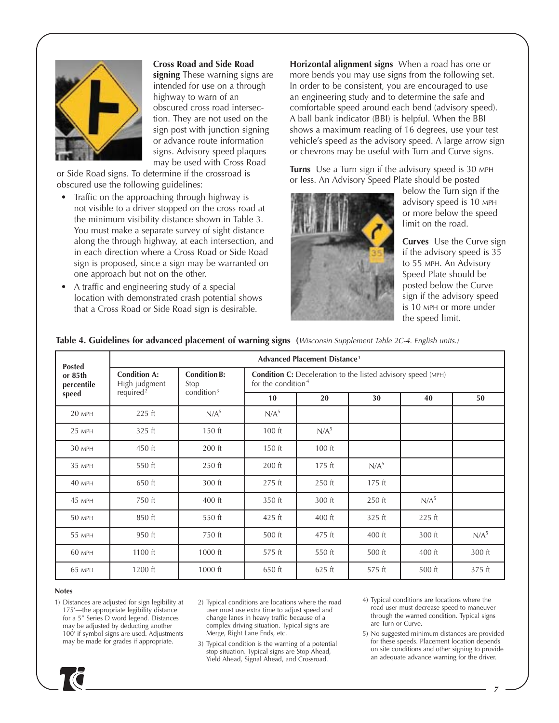

#### **Cross Road and Side Road**

**signing** These warning signs are intended for use on a through highway to warn of an obscured cross road intersection. They are not used on the sign post with junction signing or advance route information signs. Advisory speed plaques may be used with Cross Road

or Side Road signs. To determine if the crossroad is obscured use the following guidelines:

- Traffic on the approaching through highway is not visible to a driver stopped on the cross road at the minimum visibility distance shown in Table 3. You must make a separate survey of sight distance along the through highway, at each intersection, and in each direction where a Cross Road or Side Road sign is proposed, since a sign may be warranted on one approach but not on the other.
- A traffic and engineering study of a special location with demonstrated crash potential shows that a Cross Road or Side Road sign is desirable.

**Horizontal alignment signs** When a road has one or more bends you may use signs from the following set. In order to be consistent, you are encouraged to use an engineering study and to determine the safe and comfortable speed around each bend (advisory speed). A ball bank indicator (BBI) is helpful. When the BBI shows a maximum reading of 16 degrees, use your test vehicle's speed as the advisory speed. A large arrow sign or chevrons may be useful with Turn and Curve signs.

**Turns** Use a Turn sign if the advisory speed is 30 MPH or less. An Advisory Speed Plate should be posted



below the Turn sign if the advisory speed is 10 MPH or more below the speed limit on the road.

**Curves** Use the Curve sign if the advisory speed is 35 to 55 MPH. An Advisory Speed Plate should be posted below the Curve sign if the advisory speed is 10 MPH or more under the speed limit.

| <b>Posted</b>         | <b>Advanced Placement Distance<sup>1</sup></b> |                             |                                                                                              |                  |                  |                  |                  |  |
|-----------------------|------------------------------------------------|-----------------------------|----------------------------------------------------------------------------------------------|------------------|------------------|------------------|------------------|--|
| or 85th<br>percentile | <b>Condition A:</b><br>High judgment           | <b>Condition B:</b><br>Stop | <b>Condition C:</b> Deceleration to the listed advisory speed (MPH)<br>for the condition $4$ |                  |                  |                  |                  |  |
| speed                 | required <sup>2</sup>                          | condition $3$               | 10 <sup>°</sup>                                                                              | 20               | 30               | 40               | 50               |  |
| 20 MPH                | $225$ ft                                       | N/A <sup>5</sup>            | N/A <sup>5</sup>                                                                             |                  |                  |                  |                  |  |
| $25$ MPH              | $325$ ft                                       | $150$ ft                    | $100$ ft                                                                                     | N/A <sup>5</sup> |                  |                  |                  |  |
| 30 MPH                | 450 ft                                         | $200$ ft                    | $150$ ft                                                                                     | $100$ ft         |                  |                  |                  |  |
| 35 MPH                | 550 ft                                         | 250 ft                      | $200$ ft                                                                                     | $175$ ft         | N/A <sup>5</sup> |                  |                  |  |
| 40 MPH                | 650 ft                                         | 300 ft                      | $275$ ft                                                                                     | $250$ ft         | $175$ ft         |                  |                  |  |
| 45 MPH                | 750 ft                                         | 400 ft                      | 350 ft                                                                                       | 300 ft           | 250 ft           | N/A <sup>5</sup> |                  |  |
| 50 MPH                | 850 ft                                         | 550 ft                      | $425$ ft                                                                                     | $400$ ft         | $325$ ft         | $225$ ft         |                  |  |
| 55 MPH                | 950 ft                                         | 750 ft                      | $500$ ft                                                                                     | 475 ft           | $400$ ft         | 300 ft           | N/A <sup>5</sup> |  |
| 60 MPH                | $1100$ ft                                      | 1000 ft                     | 575 ft                                                                                       | 550 ft           | 500 ft           | 400 ft           | 300 ft           |  |
| 65 MPH                | 1200 ft                                        | 1000 ft                     | 650 ft                                                                                       | 625 ft           | 575 ft           | 500 ft           | 375 ft           |  |

### **Table 4. Guidelines for advanced placement of warning signs (**Wisconsin Supplement Table 2C-4. English units.)

#### **Notes**

- 1) Distances are adjusted for sign legibility at 175'—the appropriate legibility distance for a 5" Series D word legend. Distances may be adjusted by deducting another 100' if symbol signs are used. Adjustments may be made for grades if appropriate.
- 2) Typical conditions are locations where the road user must use extra time to adjust speed and change lanes in heavy traffic because of a complex driving situation. Typical signs are Merge, Right Lane Ends, etc.
- 3) Typical condition is the warning of a potential stop situation. Typical signs are Stop Ahead, Yield Ahead, Signal Ahead, and Crossroad.
- 4) Typical conditions are locations where the road user must decrease speed to maneuver through the warned condition. Typical signs are Turn or Curve.
- 5) No suggested minimum distances are provided for these speeds. Placement location depends on site conditions and other signing to provide an adequate advance warning for the driver.

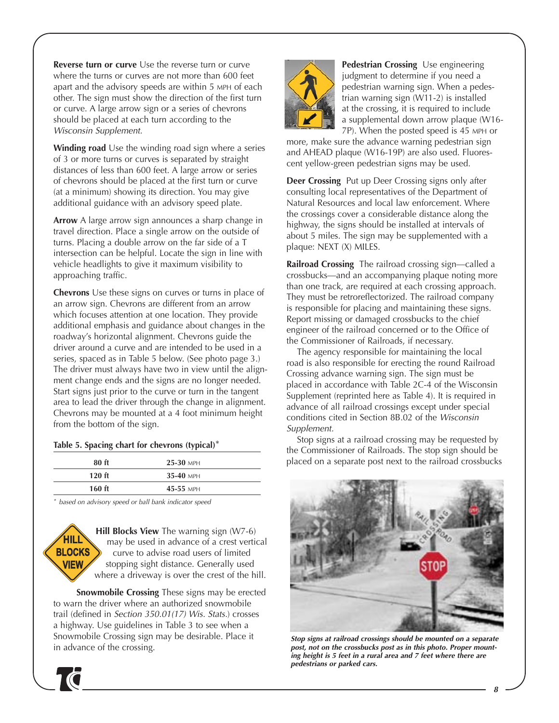**Reverse turn or curve** Use the reverse turn or curve where the turns or curves are not more than 600 feet apart and the advisory speeds are within 5 MPH of each other. The sign must show the direction of the first turn or curve. A large arrow sign or a series of chevrons should be placed at each turn according to the Wisconsin Supplement.

**Winding road** Use the winding road sign where a series of 3 or more turns or curves is separated by straight distances of less than 600 feet. A large arrow or series of chevrons should be placed at the first turn or curve (at a minimum) showing its direction. You may give additional guidance with an advisory speed plate.

**Arrow** A large arrow sign announces a sharp change in travel direction. Place a single arrow on the outside of turns. Placing a double arrow on the far side of a T intersection can be helpful. Locate the sign in line with vehicle headlights to give it maximum visibility to approaching traffic.

**Chevrons** Use these signs on curves or turns in place of an arrow sign. Chevrons are different from an arrow which focuses attention at one location. They provide additional emphasis and guidance about changes in the roadway's horizontal alignment. Chevrons guide the driver around a curve and are intended to be used in a series, spaced as in Table 5 below. (See photo page 3.) The driver must always have two in view until the alignment change ends and the signs are no longer needed. Start signs just prior to the curve or turn in the tangent area to lead the driver through the change in alignment. Chevrons may be mounted at a 4 foot minimum height from the bottom of the sign.

### **Table 5. Spacing chart for chevrons (typical)**\*

| $80$ ft  | $25-30$ MPH |
|----------|-------------|
| $120$ ft | $35-40$ MPH |
| $160$ ft | $45-55$ MPH |

\* based on advisory speed or ball bank indicator speed



**Hill Blocks View** The warning sign (W7-6) may be used in advance of a crest vertical curve to advise road users of limited stopping sight distance. Generally used where a driveway is over the crest of the hill.

**Snowmobile Crossing** These signs may be erected to warn the driver where an authorized snowmobile trail (defined in Section 350.01(17) Wis. Stats.) crosses a highway. Use guidelines in Table 3 to see when a Snowmobile Crossing sign may be desirable. Place it in advance of the crossing.





**Pedestrian Crossing** Use engineering judgment to determine if you need a pedestrian warning sign. When a pedestrian warning sign (W11-2) is installed at the crossing, it is required to include a supplemental down arrow plaque (W16- 7P). When the posted speed is 45 MPH or

more, make sure the advance warning pedestrian sign and AHEAD plaque (W16-19P) are also used. Fluorescent yellow-green pedestrian signs may be used.

**Deer Crossing** Put up Deer Crossing signs only after consulting local representatives of the Department of Natural Resources and local law enforcement. Where the crossings cover a considerable distance along the highway, the signs should be installed at intervals of about 5 miles. The sign may be supplemented with a plaque: NEXT (X) MILES.

**Railroad Crossing** The railroad crossing sign—called a crossbucks—and an accompanying plaque noting more than one track, are required at each crossing approach. They must be retroreflectorized. The railroad company is responsible for placing and maintaining these signs. Report missing or damaged crossbucks to the chief engineer of the railroad concerned or to the Office of the Commissioner of Railroads, if necessary.

The agency responsible for maintaining the local road is also responsible for erecting the round Railroad Crossing advance warning sign. The sign must be placed in accordance with Table 2C-4 of the Wisconsin Supplement (reprinted here as Table 4). It is required in advance of all railroad crossings except under special conditions cited in Section 8B.02 of the Wisconsin Supplement.

Stop signs at a railroad crossing may be requested by the Commissioner of Railroads. The stop sign should be placed on a separate post next to the railroad crossbucks



**Stop signs at railroad crossings should be mounted on a separate post, not on the crossbucks post as in this photo. Proper mounting height is 5 feet in a rural area and 7 feet where there are pedestrians or parked cars.**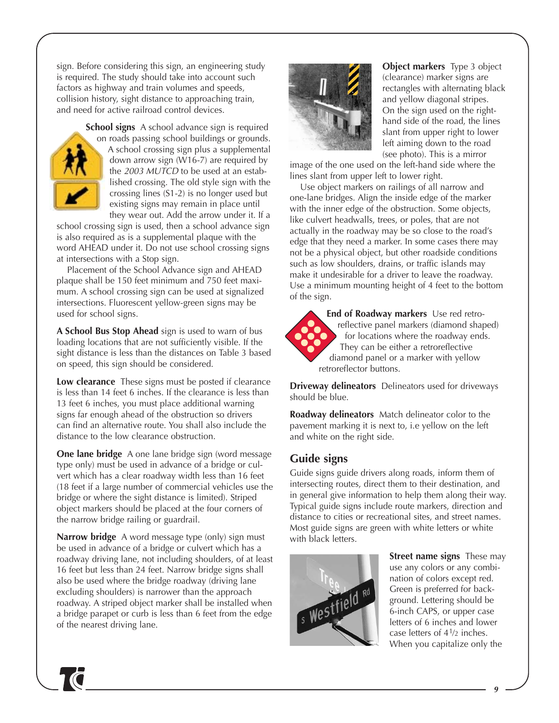sign. Before considering this sign, an engineering study is required. The study should take into account such factors as highway and train volumes and speeds, collision history, sight distance to approaching train, and need for active railroad control devices.



**School signs** A school advance sign is required on roads passing school buildings or grounds. A school crossing sign plus a supplemental down arrow sign (W16-7) are required by the 2003 MUTCD to be used at an established crossing. The old style sign with the crossing lines (S1-2) is no longer used but existing signs may remain in place until they wear out. Add the arrow under it. If a

school crossing sign is used, then a school advance sign is also required as is a supplemental plaque with the word AHEAD under it. Do not use school crossing signs at intersections with a Stop sign.

Placement of the School Advance sign and AHEAD plaque shall be 150 feet minimum and 750 feet maximum. A school crossing sign can be used at signalized intersections. Fluorescent yellow-green signs may be used for school signs.

**A School Bus Stop Ahead** sign is used to warn of bus loading locations that are not sufficiently visible. If the sight distance is less than the distances on Table 3 based on speed, this sign should be considered.

**Low clearance** These signs must be posted if clearance is less than 14 feet 6 inches. If the clearance is less than 13 feet 6 inches, you must place additional warning signs far enough ahead of the obstruction so drivers can find an alternative route. You shall also include the distance to the low clearance obstruction.

**One lane bridge** A one lane bridge sign (word message type only) must be used in advance of a bridge or culvert which has a clear roadway width less than 16 feet (18 feet if a large number of commercial vehicles use the bridge or where the sight distance is limited). Striped object markers should be placed at the four corners of the narrow bridge railing or guardrail.

**Narrow bridge** A word message type (only) sign must be used in advance of a bridge or culvert which has a roadway driving lane, not including shoulders, of at least 16 feet but less than 24 feet. Narrow bridge signs shall also be used where the bridge roadway (driving lane excluding shoulders) is narrower than the approach roadway. A striped object marker shall be installed when a bridge parapet or curb is less than 6 feet from the edge of the nearest driving lane.



**Object markers** Type 3 object (clearance) marker signs are rectangles with alternating black and yellow diagonal stripes. On the sign used on the righthand side of the road, the lines slant from upper right to lower left aiming down to the road (see photo). This is a mirror

image of the one used on the left-hand side where the lines slant from upper left to lower right.

Use object markers on railings of all narrow and one-lane bridges. Align the inside edge of the marker with the inner edge of the obstruction. Some objects, like culvert headwalls, trees, or poles, that are not actually in the roadway may be so close to the road's edge that they need a marker. In some cases there may not be a physical object, but other roadside conditions such as low shoulders, drains, or traffic islands may make it undesirable for a driver to leave the roadway. Use a minimum mounting height of 4 feet to the bottom of the sign.



**End of Roadway markers** Use red retroreflective panel markers (diamond shaped) for locations where the roadway ends. They can be either a retroreflective diamond panel or a marker with yellow retroreflector buttons.

**Driveway delineators** Delineators used for driveways should be blue.

**Roadway delineators** Match delineator color to the pavement marking it is next to, i.e yellow on the left and white on the right side.

## **Guide signs**

Guide signs guide drivers along roads, inform them of intersecting routes, direct them to their destination, and in general give information to help them along their way. Typical guide signs include route markers, direction and distance to cities or recreational sites, and street names. Most guide signs are green with white letters or white with black letters.



**Street name signs** These may use any colors or any combination of colors except red. Green is preferred for background. Lettering should be 6-inch CAPS, or upper case letters of 6 inches and lower case letters of 41⁄2 inches. When you capitalize only the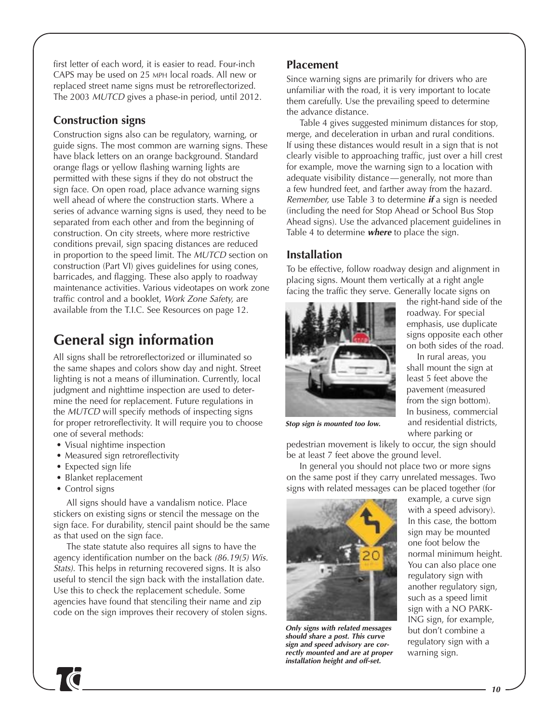first letter of each word, it is easier to read. Four-inch CAPS may be used on 25 MPH local roads. All new or replaced street name signs must be retroreflectorized. The 2003 MUTCD gives a phase-in period, until 2012.

## **Construction signs**

Construction signs also can be regulatory, warning, or guide signs. The most common are warning signs. These have black letters on an orange background. Standard orange flags or yellow flashing warning lights are permitted with these signs if they do not obstruct the sign face. On open road, place advance warning signs well ahead of where the construction starts. Where a series of advance warning signs is used, they need to be separated from each other and from the beginning of construction. On city streets, where more restrictive conditions prevail, sign spacing distances are reduced in proportion to the speed limit. The MUTCD section on construction (Part VI) gives guidelines for using cones, barricades, and flagging. These also apply to roadway maintenance activities. Various videotapes on work zone traffic control and a booklet, Work Zone Safety, are available from the T.I.C. See Resources on page 12.

# **General sign information**

All signs shall be retroreflectorized or illuminated so the same shapes and colors show day and night. Street lighting is not a means of illumination. Currently, local judgment and nighttime inspection are used to determine the need for replacement. Future regulations in the MUTCD will specify methods of inspecting signs for proper retroreflectivity. It will require you to choose one of several methods:

- Visual nightime inspection
- Measured sign retroreflectivity
- Expected sign life
- Blanket replacement
- Control signs

All signs should have a vandalism notice. Place stickers on existing signs or stencil the message on the sign face. For durability, stencil paint should be the same as that used on the sign face.

The state statute also requires all signs to have the agency identification number on the back (86.19(5) Wis. Stats). This helps in returning recovered signs. It is also useful to stencil the sign back with the installation date. Use this to check the replacement schedule. Some agencies have found that stenciling their name and zip code on the sign improves their recovery of stolen signs.

## **Placement**

Since warning signs are primarily for drivers who are unfamiliar with the road, it is very important to locate them carefully. Use the prevailing speed to determine the advance distance.

Table 4 gives suggested minimum distances for stop, merge, and deceleration in urban and rural conditions. If using these distances would result in a sign that is not clearly visible to approaching traffic, just over a hill crest for example, move the warning sign to a location with adequate visibility distance—generally, not more than a few hundred feet, and farther away from the hazard. Remember, use Table 3 to determine **if** a sign is needed (including the need for Stop Ahead or School Bus Stop Ahead signs). Use the advanced placement guidelines in Table 4 to determine **where** to place the sign.

### **Installation**

To be effective, follow roadway design and alignment in placing signs. Mount them vertically at a right angle facing the traffic they serve. Generally locate signs on



the right-hand side of the roadway. For special emphasis, use duplicate signs opposite each other on both sides of the road.

In rural areas, you shall mount the sign at least 5 feet above the pavement (measured from the sign bottom). In business, commercial and residential districts, where parking or

**Stop sign is mounted too low.**

pedestrian movement is likely to occur, the sign should be at least 7 feet above the ground level.

In general you should not place two or more signs on the same post if they carry unrelated messages. Two signs with related messages can be placed together (for



**Only signs with related messages should share a post. This curve sign and speed advisory are correctly mounted and are at proper installation height and off-set.**

example, a curve sign with a speed advisory). In this case, the bottom sign may be mounted one foot below the normal minimum height. You can also place one regulatory sign with another regulatory sign, such as a speed limit sign with a NO PARK-ING sign, for example, but don't combine a regulatory sign with a warning sign.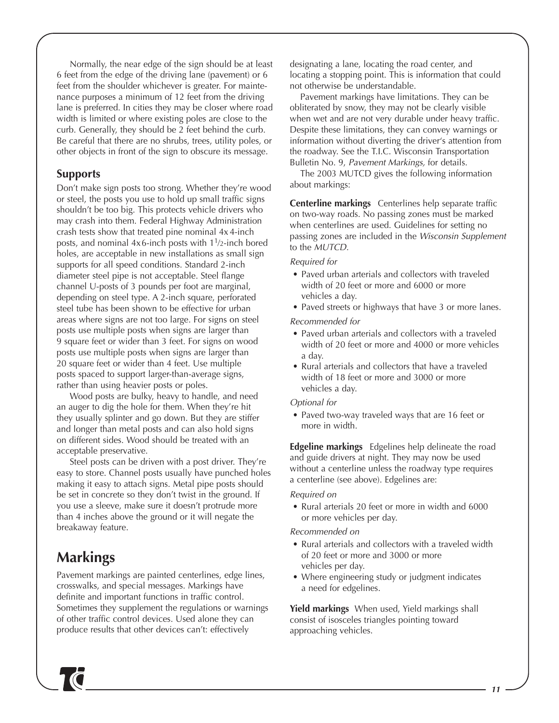Normally, the near edge of the sign should be at least 6 feet from the edge of the driving lane (pavement) or 6 feet from the shoulder whichever is greater. For maintenance purposes a minimum of 12 feet from the driving lane is preferred. In cities they may be closer where road width is limited or where existing poles are close to the curb. Generally, they should be 2 feet behind the curb. Be careful that there are no shrubs, trees, utility poles, or other objects in front of the sign to obscure its message.

### **Supports**

Don't make sign posts too strong. Whether they're wood or steel, the posts you use to hold up small traffic signs shouldn't be too big. This protects vehicle drivers who may crash into them. Federal Highway Administration crash tests show that treated pine nominal 4x 4-inch posts, and nominal  $4x6$ -inch posts with  $1<sup>1</sup>/2$ -inch bored holes, are acceptable in new installations as small sign supports for all speed conditions. Standard 2-inch diameter steel pipe is not acceptable. Steel flange channel U-posts of 3 pounds per foot are marginal, depending on steel type. A 2-inch square, perforated steel tube has been shown to be effective for urban areas where signs are not too large. For signs on steel posts use multiple posts when signs are larger than 9 square feet or wider than 3 feet. For signs on wood posts use multiple posts when signs are larger than 20 square feet or wider than 4 feet. Use multiple posts spaced to support larger-than-average signs, rather than using heavier posts or poles.

Wood posts are bulky, heavy to handle, and need an auger to dig the hole for them. When they're hit they usually splinter and go down. But they are stiffer and longer than metal posts and can also hold signs on different sides. Wood should be treated with an acceptable preservative.

Steel posts can be driven with a post driver. They're easy to store. Channel posts usually have punched holes making it easy to attach signs. Metal pipe posts should be set in concrete so they don't twist in the ground. If you use a sleeve, make sure it doesn't protrude more than 4 inches above the ground or it will negate the breakaway feature.

# **Markings**

Pavement markings are painted centerlines, edge lines, crosswalks, and special messages. Markings have definite and important functions in traffic control. Sometimes they supplement the regulations or warnings of other traffic control devices. Used alone they can produce results that other devices can't: effectively

designating a lane, locating the road center, and locating a stopping point. This is information that could not otherwise be understandable.

Pavement markings have limitations. They can be obliterated by snow, they may not be clearly visible when wet and are not very durable under heavy traffic. Despite these limitations, they can convey warnings or information without diverting the driver's attention from the roadway. See the T.I.C. Wisconsin Transportation Bulletin No. 9, Pavement Markings, for details.

The 2003 MUTCD gives the following information about markings:

**Centerline markings** Centerlines help separate traffic on two-way roads. No passing zones must be marked when centerlines are used. Guidelines for setting no passing zones are included in the Wisconsin Supplement to the MUTCD.

### Required for

- Paved urban arterials and collectors with traveled width of 20 feet or more and 6000 or more vehicles a day.
- Paved streets or highways that have 3 or more lanes.

### Recommended for

- Paved urban arterials and collectors with a traveled width of 20 feet or more and 4000 or more vehicles a day.
- Rural arterials and collectors that have a traveled width of 18 feet or more and 3000 or more vehicles a day.

### Optional for

• Paved two-way traveled ways that are 16 feet or more in width.

**Edgeline markings** Edgelines help delineate the road and guide drivers at night. They may now be used without a centerline unless the roadway type requires a centerline (see above). Edgelines are:

### Required on

• Rural arterials 20 feet or more in width and 6000 or more vehicles per day.

### Recommended on

- Rural arterials and collectors with a traveled width of 20 feet or more and 3000 or more vehicles per day.
- Where engineering study or judgment indicates a need for edgelines.

**Yield markings** When used, Yield markings shall consist of isosceles triangles pointing toward approaching vehicles.